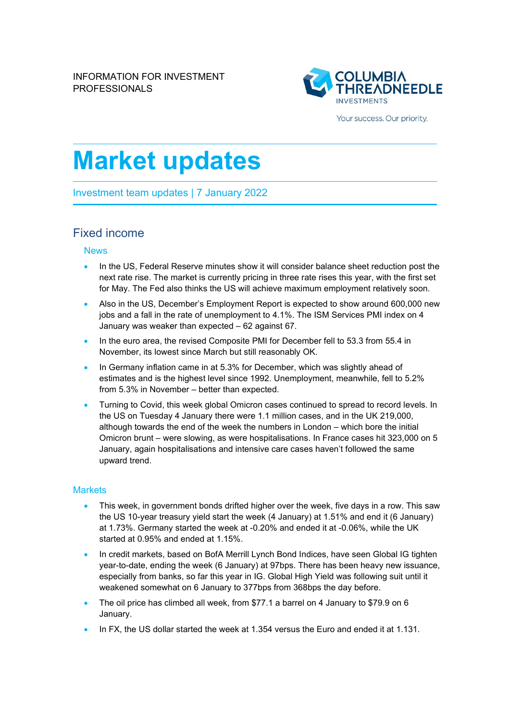

Your success. Our priority.

# **Market updates**

Investment team updates | 7 January 2022

## Fixed income

#### News

- In the US, Federal Reserve minutes show it will consider balance sheet reduction post the next rate rise. The market is currently pricing in three rate rises this year, with the first set for May. The Fed also thinks the US will achieve maximum employment relatively soon.
- Also in the US, December's Employment Report is expected to show around 600,000 new jobs and a fall in the rate of unemployment to 4.1%. The ISM Services PMI index on 4 January was weaker than expected – 62 against 67.
- In the euro area, the revised Composite PMI for December fell to 53.3 from 55.4 in November, its lowest since March but still reasonably OK.
- In Germany inflation came in at 5.3% for December, which was slightly ahead of estimates and is the highest level since 1992. Unemployment, meanwhile, fell to 5.2% from 5.3% in November – better than expected.
- Turning to Covid, this week global Omicron cases continued to spread to record levels. In the US on Tuesday 4 January there were 1.1 million cases, and in the UK 219,000, although towards the end of the week the numbers in London – which bore the initial Omicron brunt – were slowing, as were hospitalisations. In France cases hit 323,000 on 5 January, again hospitalisations and intensive care cases haven't followed the same upward trend.

#### **Markets**

- This week, in government bonds drifted higher over the week, five days in a row. This saw the US 10-year treasury yield start the week (4 January) at 1.51% and end it (6 January) at 1.73%. Germany started the week at -0.20% and ended it at -0.06%, while the UK started at 0.95% and ended at 1.15%.
- In credit markets, based on BofA Merrill Lynch Bond Indices, have seen Global IG tighten year-to-date, ending the week (6 January) at 97bps. There has been heavy new issuance, especially from banks, so far this year in IG. Global High Yield was following suit until it weakened somewhat on 6 January to 377bps from 368bps the day before.
- The oil price has climbed all week, from \$77.1 a barrel on 4 January to \$79.9 on 6 January.
- In FX, the US dollar started the week at 1.354 versus the Euro and ended it at 1.131.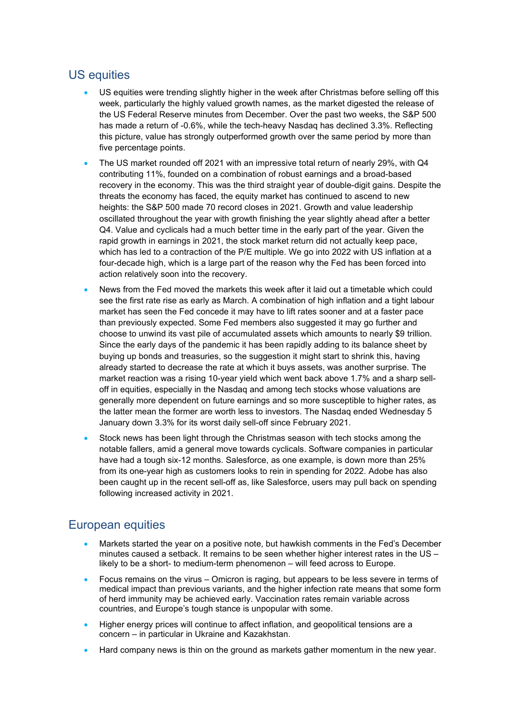## US equities

- US equities were trending slightly higher in the week after Christmas before selling off this week, particularly the highly valued growth names, as the market digested the release of the US Federal Reserve minutes from December. Over the past two weeks, the S&P 500 has made a return of -0.6%, while the tech-heavy Nasdaq has declined 3.3%. Reflecting this picture, value has strongly outperformed growth over the same period by more than five percentage points.
- The US market rounded off 2021 with an impressive total return of nearly 29%, with Q4 contributing 11%, founded on a combination of robust earnings and a broad-based recovery in the economy. This was the third straight year of double-digit gains. Despite the threats the economy has faced, the equity market has continued to ascend to new heights: the S&P 500 made 70 record closes in 2021. Growth and value leadership oscillated throughout the year with growth finishing the year slightly ahead after a better Q4. Value and cyclicals had a much better time in the early part of the year. Given the rapid growth in earnings in 2021, the stock market return did not actually keep pace, which has led to a contraction of the P/E multiple. We go into 2022 with US inflation at a four-decade high, which is a large part of the reason why the Fed has been forced into action relatively soon into the recovery.
- News from the Fed moved the markets this week after it laid out a timetable which could see the first rate rise as early as March. A combination of high inflation and a tight labour market has seen the Fed concede it may have to lift rates sooner and at a faster pace than previously expected. Some Fed members also suggested it may go further and choose to unwind its vast pile of accumulated assets which amounts to nearly \$9 trillion. Since the early days of the pandemic it has been rapidly adding to its balance sheet by buying up bonds and treasuries, so the suggestion it might start to shrink this, having already started to decrease the rate at which it buys assets, was another surprise. The market reaction was a rising 10-year yield which went back above 1.7% and a sharp selloff in equities, especially in the Nasdaq and among tech stocks whose valuations are generally more dependent on future earnings and so more susceptible to higher rates, as the latter mean the former are worth less to investors. The Nasdaq ended Wednesday 5 January down 3.3% for its worst daily sell-off since February 2021.
- Stock news has been light through the Christmas season with tech stocks among the notable fallers, amid a general move towards cyclicals. Software companies in particular have had a tough six-12 months. Salesforce, as one example, is down more than 25% from its one-year high as customers looks to rein in spending for 2022. Adobe has also been caught up in the recent sell-off as, like Salesforce, users may pull back on spending following increased activity in 2021.

# European equities

- Markets started the year on a positive note, but hawkish comments in the Fed's December minutes caused a setback. It remains to be seen whether higher interest rates in the US – likely to be a short- to medium-term phenomenon – will feed across to Europe.
- Focus remains on the virus Omicron is raging, but appears to be less severe in terms of medical impact than previous variants, and the higher infection rate means that some form of herd immunity may be achieved early. Vaccination rates remain variable across countries, and Europe's tough stance is unpopular with some.
- Higher energy prices will continue to affect inflation, and geopolitical tensions are a concern – in particular in Ukraine and Kazakhstan.
- Hard company news is thin on the ground as markets gather momentum in the new year.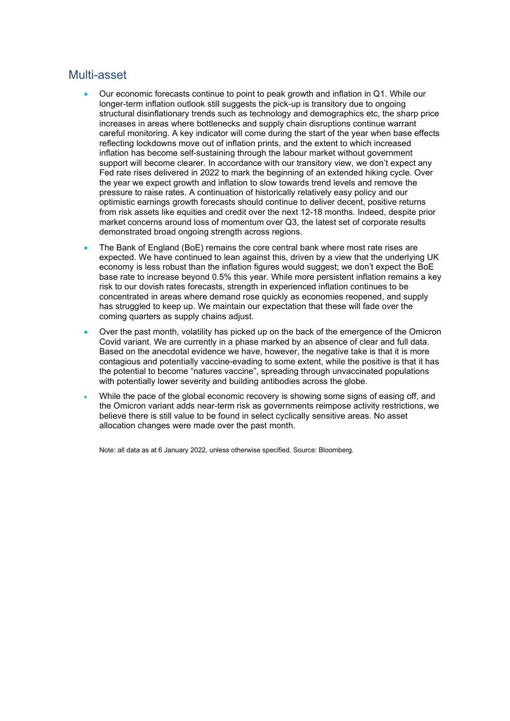### Multi-asset

- Our economic forecasts continue to point to peak growth and inflation in Q1. While our longer-term inflation outlook still suggests the pick-up is transitory due to ongoing structural disinflationary trends such as technology and demographics etc, the sharp price increases in areas where bottlenecks and supply chain disruptions continue warrant careful monitoring. A key indicator will come during the start of the year when base effects reflecting lockdowns move out of inflation prints, and the extent to which increased inflation has become self-sustaining through the labour market without government support will become clearer. In accordance with our transitory view, we don't expect any Fed rate rises delivered in 2022 to mark the beginning of an extended hiking cycle. Over the year we expect growth and inflation to slow towards trend levels and remove the pressure to raise rates. A continuation of historically relatively easy policy and our optimistic earnings growth forecasts should continue to deliver decent, positive returns from risk assets like equities and credit over the next 12-18 months. Indeed, despite prior market concerns around loss of momentum over Q3, the latest set of corporate results demonstrated broad ongoing strength across regions.
- The Bank of England (BoE) remains the core central bank where most rate rises are expected. We have continued to lean against this, driven by a view that the underlying UK economy is less robust than the inflation figures would suggest; we don't expect the BoE base rate to increase beyond 0.5% this year. While more persistent inflation remains a key risk to our dovish rates forecasts, strength in experienced inflation continues to be concentrated in areas where demand rose quickly as economies reopened, and supply has struggled to keep up. We maintain our expectation that these will fade over the coming quarters as supply chains adjust.
- Over the past month, volatility has picked up on the back of the emergence of the Omicron Covid variant. We are currently in a phase marked by an absence of clear and full data. Based on the anecdotal evidence we have, however, the negative take is that it is more contagious and potentially vaccine-evading to some extent, while the positive is that it has the potential to become "natures vaccine", spreading through unvaccinated populations with potentially lower severity and building antibodies across the globe.
- While the pace of the global economic recovery is showing some signs of easing off, and the Omicron variant adds near-term risk as governments reimpose activity restrictions, we believe there is still value to be found in select cyclically sensitive areas. No asset allocation changes were made over the past month.

Note: all data as at 6 January 2022, unless otherwise specified. Source: Bloomberg.